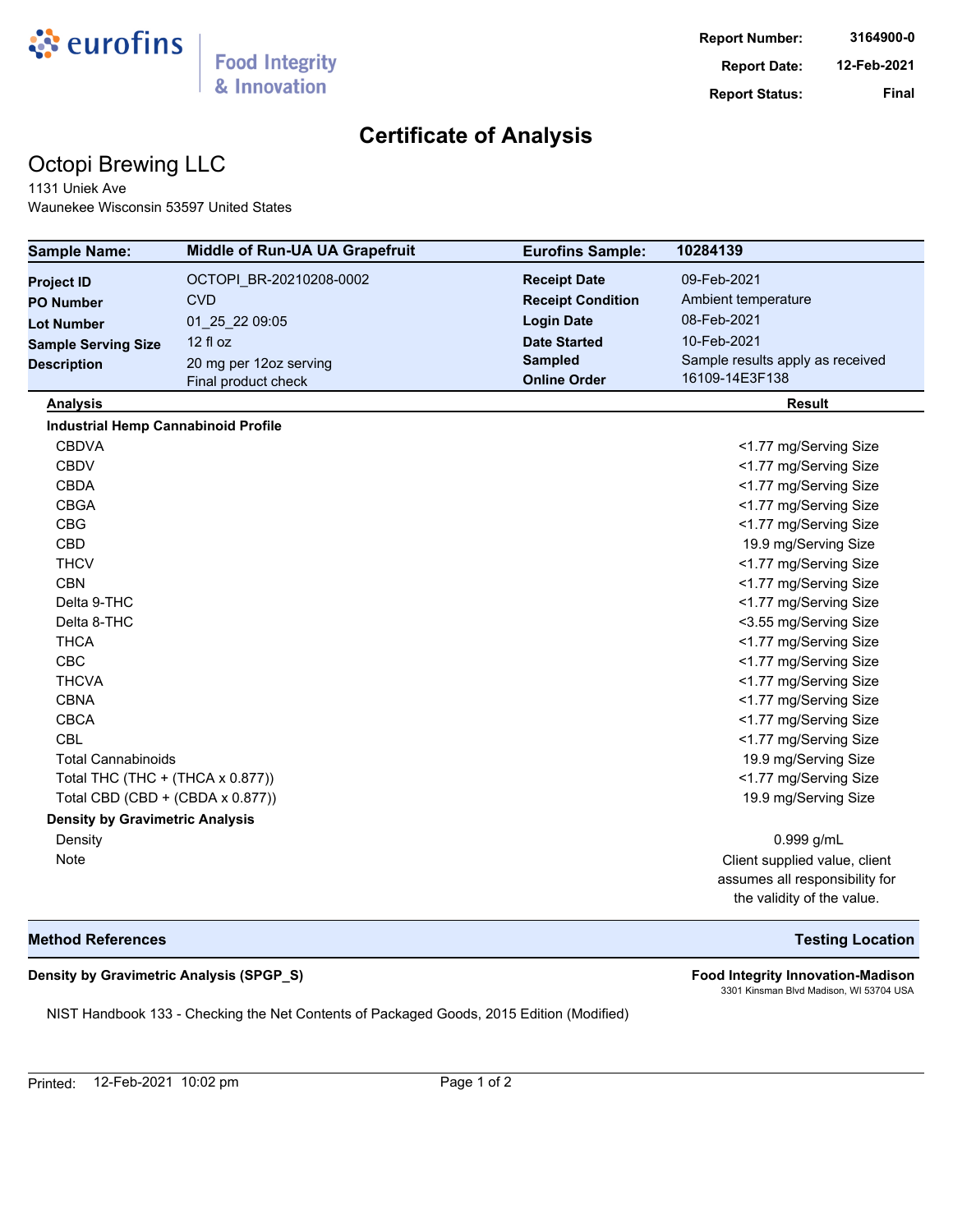

# **Certificate of Analysis**

# Octopi Brewing LLC

1131 Uniek Ave Waunekee Wisconsin 53597 United States

| <b>Sample Name:</b>                        | <b>Middle of Run-UA UA Grapefruit</b> | <b>Eurofins Sample:</b>  | 10284139                         |
|--------------------------------------------|---------------------------------------|--------------------------|----------------------------------|
| <b>Project ID</b>                          | OCTOPI BR-20210208-0002               | <b>Receipt Date</b>      | 09-Feb-2021                      |
| <b>PO Number</b>                           | <b>CVD</b>                            | <b>Receipt Condition</b> | Ambient temperature              |
| <b>Lot Number</b>                          | 01 25 22 09:05                        | <b>Login Date</b>        | 08-Feb-2021                      |
| <b>Sample Serving Size</b>                 | 12 fl oz                              | <b>Date Started</b>      | 10-Feb-2021                      |
| <b>Description</b>                         | 20 mg per 12oz serving                | <b>Sampled</b>           | Sample results apply as received |
|                                            | Final product check                   | <b>Online Order</b>      | 16109-14E3F138                   |
| <b>Analysis</b>                            |                                       |                          | <b>Result</b>                    |
| <b>Industrial Hemp Cannabinoid Profile</b> |                                       |                          |                                  |
| <b>CBDVA</b>                               |                                       |                          | <1.77 mg/Serving Size            |
| <b>CBDV</b>                                |                                       |                          | <1.77 mg/Serving Size            |
| <b>CBDA</b>                                |                                       |                          | <1.77 mg/Serving Size            |
| <b>CBGA</b>                                |                                       |                          | <1.77 mg/Serving Size            |
| <b>CBG</b>                                 |                                       |                          | <1.77 mg/Serving Size            |
| <b>CBD</b>                                 |                                       |                          | 19.9 mg/Serving Size             |
| <b>THCV</b>                                |                                       |                          | <1.77 mg/Serving Size            |
| <b>CBN</b>                                 |                                       |                          | <1.77 mg/Serving Size            |
| Delta 9-THC                                |                                       |                          | <1.77 mg/Serving Size            |
| Delta 8-THC                                |                                       |                          | <3.55 mg/Serving Size            |
| <b>THCA</b>                                |                                       |                          | <1.77 mg/Serving Size            |
| <b>CBC</b>                                 |                                       |                          | <1.77 mg/Serving Size            |
| <b>THCVA</b>                               |                                       |                          | <1.77 mg/Serving Size            |
| <b>CBNA</b>                                |                                       |                          | <1.77 mg/Serving Size            |
| <b>CBCA</b>                                |                                       |                          | <1.77 mg/Serving Size            |
| <b>CBL</b>                                 |                                       |                          | <1.77 mg/Serving Size            |
| <b>Total Cannabinoids</b>                  |                                       |                          | 19.9 mg/Serving Size             |
| Total THC (THC + (THCA x 0.877))           |                                       |                          | <1.77 mg/Serving Size            |
| Total CBD (CBD + (CBDA x 0.877))           |                                       |                          | 19.9 mg/Serving Size             |
| <b>Density by Gravimetric Analysis</b>     |                                       |                          |                                  |
| Density                                    |                                       |                          | 0.999 g/mL                       |
| Note                                       |                                       |                          | Client supplied value, client    |
|                                            |                                       |                          | assumes all responsibility for   |
|                                            |                                       |                          | the validity of the value.       |

### **Method References Testing Location**

### **Density by Gravimetric Analysis (SPGP\_S) Food Integrity Innovation-Madison**

NIST Handbook 133 - Checking the Net Contents of Packaged Goods, 2015 Edition (Modified)

3301 Kinsman Blvd Madison, WI 53704 USA